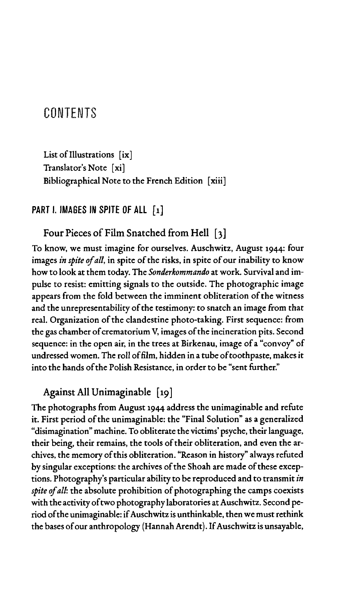# **CONTENTS**

List of Illustrations [ix] **Translator's Note [xi] Bibliographical Note to the French Edition [xiii]**

#### PART I. IMAGES IN SPITE OF ALL  $\lceil 1 \rceil$

#### Four Pieces of Film Snatched from Hell [3]

**To know, we must imagine for ourselves. Auschwitz, August 1944: four** images *in spite of all*, in spite of the risks, in spite of our inability to know **how to look at them today. The** *Sonderkommando* **at work. Survival and impulse to resist: emitting signals to the outside. The photographic image** appears from the fold between the imminent obliteration of the witness and the unrepresentability of the testimony: to snatch an image from that real. Organization of the clandestine photo-taking. First sequence: from the gas chamber of crematorium V, images of the incineration pits. Second sequence: in the open air, in the trees at Birkenau, image of a "convoy" of undressed women. The roll of film, hidden in a tube of toothpaste, makes it into the hands of the Polish Resistance, in order to be "sent further."

#### Against All Unimaginable [19]

**The photographs from August 1944 address the unimaginable and refute** it. First period of the unimaginable: the "Final Solution" as a generalized **"disimagination" machine. To obliterate the victims' psyche, their language,** their being, their remains, the tools of their obliteration, and even the archives, the memory of this obliteration. "Reason in history" always refuted by singular exceptions: the archives of the Shoah are made of these excep**tions. Photography's particular ability to be reproduced and to transmit** *in* spite of all: the absolute prohibition of photographing the camps coexists with the activity of two photography laboratories at Auschwitz. Second pe**riod of the unimaginable: if Auschwitz is unthinkable, then we must rethink** the bases of our anthropology (Hannah Arendt). If Auschwitz is unsayable,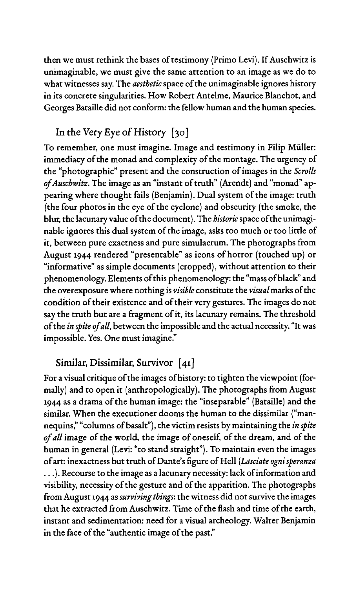then we must rethink the bases of testimony (Primo Levi). If Auschwitz is **unimaginable, we must give the same attention to an image as we do to** what witnesses say. The *aesthetic* space of the unimaginable ignores history **in its concrete singularities. How Robert Antelme, Maurice Blanchot, and Georges Bataille did not conform: the fellow human and the human species.**

## In the Very Eye of History  $\lceil 30 \rceil$

**To remember, one must imagine. Image and testimony in Filip Muller:** immediacy of the monad and complexity of the montage. The urgency of the "photographic" present and the construction of images in the *Scrolls* of Auschwitz. The image as an "instant of truth" (Arendt) and "monad" appearing where thought fails (Benjamin). Dual system of the image: truth (the four photos in the eye of the cyclone) and obscurity (the smoke, the blur, the lacunary value of the document). The *historic* space of the unimagi**nable ignores this dual system o f the image, asks too much or too little of it, between pure exactness and pure simulacrum. The photographs from** August 1944 rendered "presentable" as icons of horror (touched up) or **"informative" as simple documents (cropped), without attention to their** phenomenology. Elements of this phenomenology: the "mass of black" and **the overexposure where nothing is** *visible* **constitute the** *visual* **marks o f the** condition of their existence and of their very gestures. The images do not say the truth but are a fragment of it, its lacunary remains. The threshold **o f the** *in spite ofall,* **between the impossible and the actual necessity. "It was impossible. Yes. One must imagine."**

### Similar, Dissimilar, Survivor [41]

For a visual critique of the images of history: to tighten the viewpoint (for**mally) and to open it (anthropologically). The photographs from August** 1944 as a drama of the human image: the "inseparable" (Bataille) and the **similar. When the executioner dooms the human to the dissimilar ("man**nequins," "columns of basalt"), the victim resists by maintaining the *in spite of all* image of the world, the image of oneself, of the dream, and of the **human in general (Levi: "to stand straight"). To maintain even the images** of art: inexactness but truth of Dante's figure of Hell (*Lasciate ogni speranza* **...). Recourse to the image as a lacunary necessity: lack of information and** visibility, necessity of the gesture and of the apparition. The photographs **from August 1944 as** *surviving things-,* **the witness did not survive the images** that he extracted from Auschwitz. Time of the flash and time of the earth, **instant and sedimentation: need for a visual archeology. Walter Benjamin** in the face of the "authentic image of the past."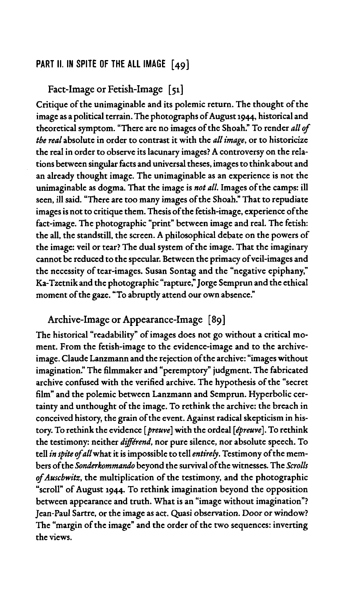#### PART II. IN SPITE OF THE ALL IMAGE  $[a9]$

#### Fact-Image or Fetish-Image [51]

Critique of the unimaginable and its polemic return. The thought of the image as a political terrain. The photographs of August 1944, historical and theoretical symptom. "There are no images of the Shoah." To render all of *the real* **absolute in order to contrast it with the** *all image,* **or to historicize the real in order to observe its lacunary images? A controversy on the relations between singular facts and universal theses, images to think about and an already thought image. The unimaginable as an experience is not the** unimaginable as dogma. That the image is *not all*. Images of the camps: ill seen, ill said. "There are too many images of the Shoah." That to repudiate images is not to critique them. Thesis of the fetish-image, experience of the **fact-image. The photographic "print" between image and real. The fetish:** the all, the standstill, the screen. A philosophical debate on the powers of the image: veil or tear? The dual system of the image. That the imaginary cannot be reduced to the specular. Between the primacy of veil-images and the necessity of tear-images. Susan Sontag and the "negative epiphany," **Ka-Tzetnik and the photographic "rapture," Jorgc Semprun and the ethical** moment of the gaze. "To abruptly attend our own absence."

#### Archive-Image or Appearance-Image [89]

The historical "readability" of images does not go without a critical mo**ment. From the fetish-image to the evidence-image and to the archive**image. Claude Lanzmann and the rejection of the archive: "images without **imagination." The filmmaker and "peremptory" judgment. The fabricated** archive confused with the verified archive. The hypothesis of the "secret **film" and the polemic between Lanzmann and Semprun. Hyperbolic cer**tainty and unthought of the image. To rethink the archive: the breach in conceived history, the grain of the event. Against radical skepticism in his**tory. To rethink the evidence** *[preuve]* **with the ordeal** *[epreuve].* **To rethink the testimony: neither** *dijfdrend,* **nor pure silence, nor absolute speech. To** tell *in spite of all* what it is impossible to tell *entirely*. Testimony of the mem**bers o f the** *Sonderkommatido* **beyond the survival o f the witnesses. The** *Scrolls* of Auschwitz, the multiplication of the testimony, and the photographic "scroll" of August 1944. To rethink imagination beyond the opposition **between appearance and truth. What is an "image without imagination"? Jean-Paul Sartre, or the image as act. Quasi observation. Door or window?** The "margin of the image" and the order of the two sequences: inverting **the views.**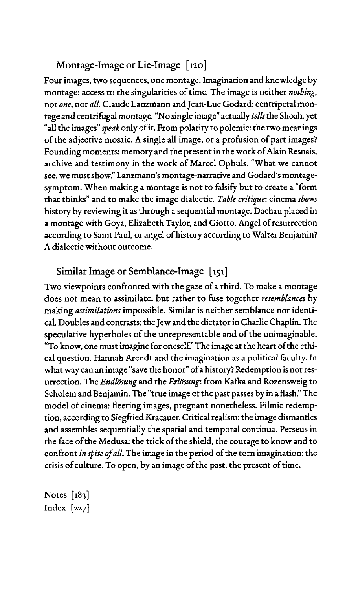#### Montage-Image or Lie-Image [120]

**Four images, two sequences, one montage. Imagination and knowledge by** montage: access to the singularities of time. The image is neither *nothing*, **nor** *one***, nor** *all.* **Claude Lanzmann and Jean-Luc Godard: centripetal montage and centrifugal** *montage.* **"N o single image" actually** *tells* **the Shoah, yet** "all the images" *speak* only of it. From polarity to polemic: the two meanings of the adjective mosaic. A single all image, or a profusion of part images? Founding moments: memory and the present in the work of Alain Resnais, archive and testimony in the work of Marcel Ophuls. "What we cannot **see, we must show." Lanzmann's montage-narrative and Godard's montagesymptom. When making a montage is not to falsify but to create a "form that thinks" and to make the image dialectic.** *Table critique:* **cinema** *shows* **history by reviewing it as through a sequential montage. Dachau placed in** a montage with Goya, Elizabeth Taylor, and Giotto. Angel of resurrection according to Saint Paul, or angel of history according to Walter Benjamin? **A dialectic without outcome.**

#### Similar Image or Semblance-Image [151]

Two viewpoints confronted with the gaze of a third. To make a montage **does not mean to assimilate, but rather to fuse together** *resemblances* **by making** *assimilations* **impossible. Similar is neither semblance nor identical. Doubles and contrasts: the Jew and the dictator in Charlie Chaplin. The** speculative hyperboles of the unrepresentable and of the unimaginable. "To know, one must imagine for oneself." The image at the heart of the ethi**cal question. Hannah Arendt and the imagination as a political faculty. In what way can an image "save the honor" of a history? Redemption is not resurrection. The** *Endlösung* **and the** *Erlösung:* **from Kafka and Rozensweig to** Scholem and Benjamin. The "true image of the past passes by in a flash." The model of cinema: fleeting images, pregnant nonetheless. Filmic redemp**tion, according to Siegfried Kracauer. Critical realism: the image dismantles and assembles sequentially the spatial and temporal continua. Perseus in** the face of the Medusa: the trick of the shield, the courage to know and to confront *in spite of all*. The image in the period of the torn imagination: the crisis of culture. To open, by an image of the past, the present of time.

**Notes [183] Index [227]**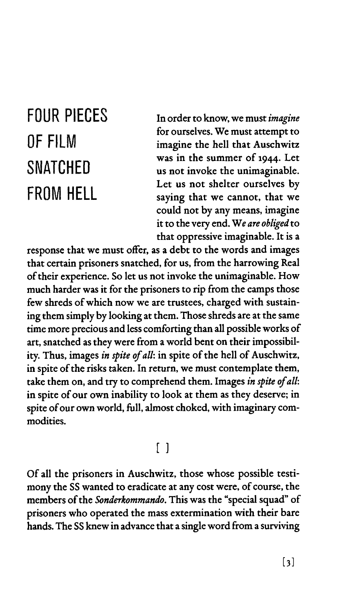# FOUR PIECES OF FILM **SNATCHED** FROM HELL

In order to know, we must *imagine* for ourselves. We must attempt to imagine the hell that Auschwitz was in the summer of 1944. Let us not invoke the unimaginable. Let us not shelter ourselves by saying that we cannot, that we could not by any means, imagine it to the very end. We *are obliged* to that oppressive imaginable. It is a

response that we must offer, as a debt to the words and images that certain prisoners snatched, for us, from the harrowing Real of their experience. So let us not invoke the unimaginable. How much harder was it for the prisoners to rip from the camps those few shreds of which now we are trustees, charged with sustaining them simply by looking at them. Those shreds are at the same time more precious and less comforting than all possible works of art, snatched as they were from a world bent on their impossibility. Thus, images in spite of all: in spite of the hell of Auschwitz, in spite of the risks taken. In return, we must contemplate them, take them on, and try to comprehend them. Images in spite of all: in spite of our own inability to look at them as they deserve; in spite of our own world, full, almost choked, with imaginary commodities.

## $\lceil$   $\rceil$

Of all the prisoners in Auschwitz, those whose possible testimony the SS wanted to eradicate at any cost were, of course, the members of the *Sonderkommando*. This was the "special squad" of prisoners who operated the mass extermination with their bare hands. The SS knew in advance that a single word from a surviving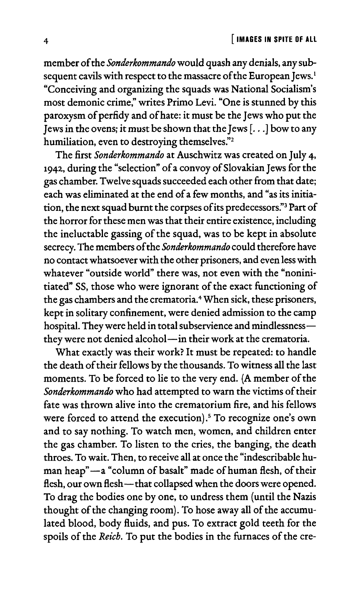member of the *Sonderkommando* would quash any denials, any subsequent cavils with respect to the massacre of the European Jews.<sup>1</sup> "Conceiving and organizing the squads was National Socialism's most demonic crime," writes Primo Levi. "One is stunned by this paroxysm of perfidy and of hate: it must be the Jews who put the Jews in the ovens; it must be shown that the Jews [...] bow to any humiliation, even to destroying themselves."2

The first *Sonderkommando* at Auschwitz was created on July 4, 1942, during the "selection" of a convoy of Slovakian Jews for the gas chamber. Twelve squads succeeded each other from that date; each was eliminated at the end of a few months, and "as its initiation, the next squad burnt the corpses of its predecessors."3 Part of the horror for these men was that their entire existence, including the ineluctable gassing of the squad, was to be kept in absolute secrecy. The members of the *Sonderkommando* could therefore have no contact whatsoever with the other prisoners, and even less with whatever "outside world" there was, not even with the "noninitiated" SS, those who were ignorant of the exact functioning of the gas chambers and the crematoria.<sup>4</sup> When sick, these prisoners, kept in solitary confinement, were denied admission to the camp hospital. They were held in total subservience and mindlessness they were not denied alcohol— in their work at the crematoria.

What exactly was their work? It must be repeated: to handle the death of their fellows by the thousands. To witness all the last moments. To be forced to lie to the very end. (A member of the Sonderkommando who had attempted to warn the victims of their fate was thrown alive into the crematorium fire, and his fellows were forced to attend the execution).<sup>5</sup> To recognize one's own and to say nothing. To watch men, women, and children enter the gas chamber. To listen to the cries, the banging, the death throes. To wait. Then, to receive all at once the "indescribable human heap" — a "column of basalt" made of human flesh, of their flesh, our own flesh— that collapsed when the doors were opened. To drag the bodies one by one, to undress them (until the Nazis thought of the changing room). To hose away all of the accumulated blood, body fluids, and pus. To extract gold teeth for the spoils of the *Reich*. To put the bodies in the furnaces of the cre-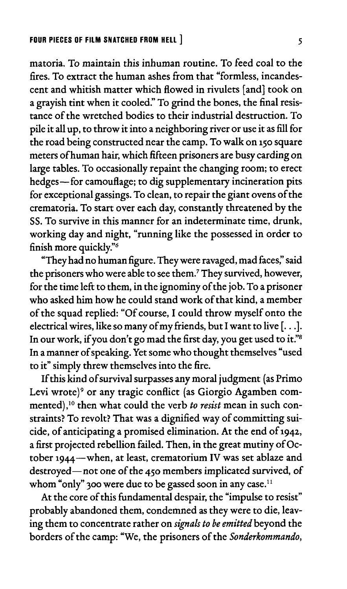matoria. To maintain this inhuman routine. To feed coal to the fires. To extract the human ashes from that "formless, incandescent and whitish matter which flowed in rivulets [and] took on a grayish tint when it cooled." To grind the bones, the final resistance of the wretched bodies to their industrial destruction. To pile it all up, to throw it into a neighboring river or use it as fill for the road being constructed near the camp. To walk on 150 square meters of human hair, which fifteen prisoners are busy carding on large tables. To occasionally repaint the changing room; to erect hedges— for camouflage; to dig supplementary incineration pits for exceptional gassings. To clean, to repair the giant ovens of the crematoria. To start over each day, constantly threatened by the SS. To survive in this manner for an indeterminate time, drunk, working day and night, "running like the possessed in order to finish more quickly."6

"They had no human figure. They were ravaged, mad faces," said the prisoners who were able to see them.7 They survived, however, for the time left to them, in the ignominy of the job. To a prisoner who asked him how he could stand work of that kind, a member of the squad replied: "Of course, I could throw myself onto the electrical wires, like so many of my friends, but I want to live  $[\ldots]$ . In our work, if you don't go mad the first day, you get used to it."8 In a manner of speaking. Yet some who thought themselves "used to it" simply threw themselves into the fire.

If this kind of survival surpasses any moral judgment (as Primo Levi wrote)<sup>9</sup> or any tragic conflict (as Giorgio Agamben commented),10 then what could the verb *to resist* mean in such constraints? To revolt? That was a dignified way of committing suicide, of anticipating a promised elimination. At the end of 1942, a first projected rebellion failed. Then, in the great mutiny of October 1944—when, at least, crematorium IV was set ablaze and destroyed—not one of the 450 members implicated survived, of whom "only" 300 were due to be gassed soon in any case.<sup>11</sup>

At the core of this fundamental despair, the "impulse to resist" probably abandoned them, condemned as they were to die, leaving them to concentrate rather on *signals to be emitted* beyond the borders of the camp: "We, the prisoners of the *Sonderkommando*,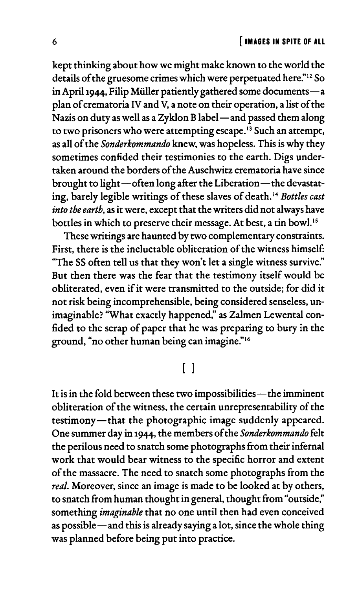kept thinking about how we might make known to the world the details of the gruesome crimes which were perpetuated here."<sup>12</sup> So in April 1944, Filip Müller patiently gathered some documents—a plan of crematoria IV and V, a note on their operation, a list of the Nazis on duty as well as a Zyklon B label— and passed them along to two prisoners who were attempting escape.13 Such an attempt, as all of the *Sonderkommando* knew, was hopeless. This is why they sometimes confided their testimonies to the earth. Digs undertaken around the borders of the Auschwitz crematoria have since brought to light— often long after the Liberation— the devastating, barely legible writings of these slaves of death.<sup>14</sup> Bottles cast *into the earth,* as it were, except that the writers did not always have bottles in which to preserve their message. At best, a tin bowl.<sup>15</sup>

These writings are haunted by two complementary constraints. First, there is the ineluctable obliteration of the witness himself: "The SS often tell us that they won't let a single witness survive." But then there was the fear that the testimony itself would be obliterated, even if it were transmitted to the outside; for did it not risk being incomprehensible, being considered senseless, unimaginable? "What exactly happened," as Zalmen Lewental confided to the scrap of paper that he was preparing to bury in the ground, "no other human being can imagine."16

 $\lceil$   $\rceil$ 

It is in the fold between these two impossibilities— the imminent obliteration of the witness, the certain unrepresentability of the testimony— that the photographic image suddenly appeared. One summer day in 1944, the members o f the *Sonderkommando* felt the perilous need to snatch some photographs from their infernal work that would bear witness to the specific horror and extent of the massacre. The need to snatch some photographs from the *real.* Moreover, since an image is made to be looked at by others, to snatch from human thought in general, thought from "outside," something *imaginable* that no one until then had even conceived as possible— and this is already saying a lot, since the whole thing was planned before being put into practice.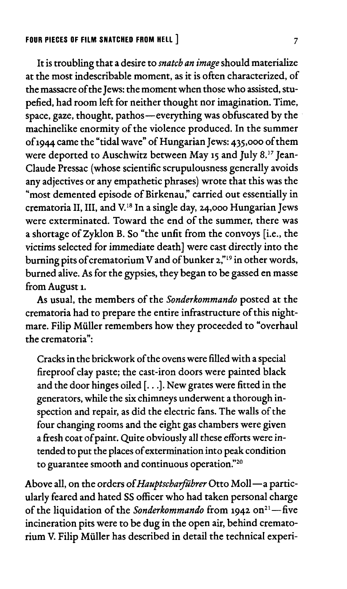#### FOUR PIECES OF FILM SNATCHED FROM HELL  $\rceil$

It is troubling that a desire to *snatch an image* should materialize at the most indescribable moment, as it is often characterized, of the massacre of the Jews: the moment when those who assisted, stupefied, had room left for neither thought nor imagination. Time, space, gaze, thought, pathos— everything was obfuscated by the machinelike enormity of the violence produced. In the summer of 1944 came the "tidal wave" of Hungarian Jews: 435,000 of them were deported to Auschwitz between May 15 and July 8.<sup>17</sup> Jean-Claude Pressac (whose scientific scrupulousness generally avoids any adjectives or any empathetic phrases) wrote that this was the "most demented episode of Birkenau," carried out essentially in crematoria II, III, and V.18 In a single day, 24,000 Hungarian Jews were exterminated. Toward the end of the summer, there was a shortage of Zyklon B. So "the unfit from the convoys [i.e., the victims selected for immediate death] were cast directly into the burning pits of crematorium V and of bunker  $z$ ,"<sup>19</sup> in other words, burned alive. As for the gypsies, they began to be gassed en masse from August 1.

As usual, the members of the *Sonderkommando* posted at the crematoria had to prepare the entire infrastructure of this nightmare. Filip Müller remembers how they proceeded to "overhaul the crematoria":

Cracks in the brickwork of the ovens were filled with a special fireproof clay paste; the cast-iron doors were painted black and the door hinges oiled [...]. New grates were fitted in the generators, while the six chimneys underwent a thorough inspection and repair, as did the electric fans. The walls of the four changing rooms and the eight gas chambers were given a fresh coat of paint. Quite obviously all these efforts were intended to put the places of extermination into peak condition to guarantee smooth and continuous operation."20

Above all, on the orders *oíHauptscharfübrer* Otto Moll— a particularly feared and hated SS officer who had taken personal charge of the liquidation of the *Sonderkommando* from 1942 on<sup>21</sup>-five incineration pits were to be dug in the open air, behind crematorium V. Filip Müller has described in detail the technical experi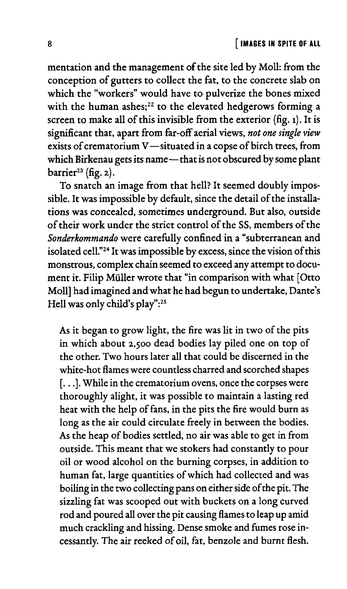mentation and the management of the site led by Moll: from the conception of gutters to collect the fat, to the concrete slab on which the "workers" would have to pulverize the bones mixed with the human ashes;<sup>22</sup> to the elevated hedgerows forming a screen to make all of this invisible from the exterior (fig.  $1$ ). It is significant that, apart from far-off aerial views, *not one single view* exists of crematorium V—situated in a copse of birch trees, from which Birkenau gets its name— that is not obscured by some plant barrier<sup>23</sup> (fig. 2).

To snatch an image from that hell? It seemed doubly impossible. It was impossible by default, since the detail of the installations was concealed, sometimes underground. But also, outside of their work under the strict control of the SS, members of the *Sonderkommanio* were carefully confined in a "subterranean and isolated cell."<sup>24</sup> It was impossible by excess, since the vision of this monstrous, complex chain seemed to exceed any attempt to document it. Filip Muller wrote that "in comparison with what [Otto Moll] had imagined and what he had begun to undertake, Dante's Hell was only child's play":25

As it began to grow light, the fire was lit in two of the pits in which about 2,500 dead bodies lay piled one on top of the other. Two hours later all that could be discerned in the white-hot flames were countless charred and scorched shapes [...]. While in the crematorium ovens, once the corpses were thoroughly alight, it was possible to maintain a lasting red heat with the help of fans, in the pits the fire would burn as long as the air could circulate freely in between the bodies. As the heap of bodies settled, no air was able to get in from outside. This meant that we stokers had constantly to pour oil or wood alcohol on the burning corpses, in addition to human fat, large quantities of which had collected and was boiling in the two collecting pans on either side of the pit. The sizzling fat was scooped out with buckets on a long curved rod and poured all over the pit causing flames to leap up amid much crackling and hissing. Dense smoke and fumes rose incessantly. The air reeked of oil, fat, benzole and burnt flesh.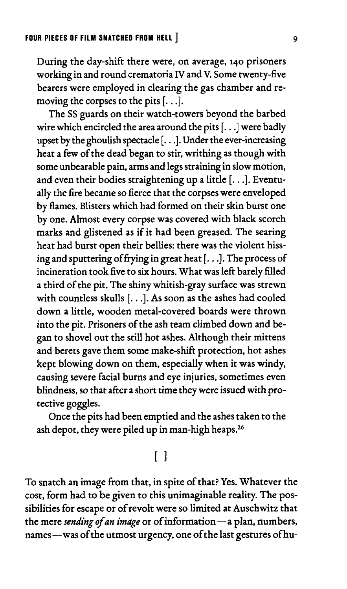During the day-shift there were, on average, 140 prisoners working in and round crematoria IV and V. Some twenty-five bearers were employed in clearing the gas chamber and removing the corpses to the pits [...].

The SS guards on their watch-towers beyond the barbed wire which encircled the area around the pits [...] were badly upset by the ghoulish spectacle [...]. Under the ever-increasing heat a few of the dead began to stir, writhing as though with some unbearable pain, arms and legs straining in slow motion, and even their bodies straightening up a little [...]. Eventually the fire became so fierce that the corpses were enveloped by flames. Blisters which had formed on their skin burst one by one. Almost every corpse was covered with black scorch marks and glistened as if it had been greased. The searing heat had burst open their bellies: there was the violent hissing and sputtering offrying in great heat [...]. The process of incineration took five to six hours. What was left barely filled a third of the pit. The shiny whitish-gray surface was strewn with countless skulls [...]. As soon as the ashes had cooled down a little, wooden metal-covered boards were thrown into the pit. Prisoners of the ash team climbed down and began to shovel out the still hot ashes. Although their mittens and berets gave them some make-shift protection, hot ashes kept blowing down on them, especially when it was windy, causing severe facial burns and eye injuries, sometimes even blindness, so that after a short time they were issued with protective goggles.

Once the pits had been emptied and the ashes taken to the ash depot, they were piled up in man-high heaps.<sup>26</sup>

## **[ ]**

To snatch an image from that, in spite of that? Yes. Whatever the cost, form had to be given to this unimaginable reality. The possibilities for escape or of revolt were so limited at Auschwitz that the mere *sending of an image* or of information-a plan, numbers, names -- was of the utmost urgency, one of the last gestures of hu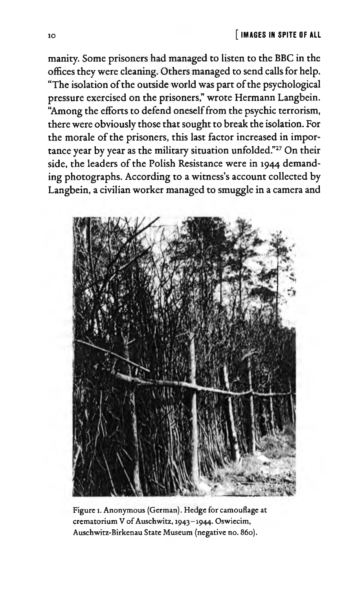manity. Some prisoners had managed to listen to the BBC in the offices they were cleaning. Others managed to send calls for help. "The isolation of the outside world was part of the psychological pressure exercised on the prisoners," wrote Hermann Langbein. "Among the efforts to defend oneself from the psychic terrorism, there were obviously those that sought to break the isolation. For the morale of the prisoners, this last factor increased in importance year by year as the military situation unfolded."<sup>27</sup> On their side, the leaders of the Polish Resistance were in 1944 demanding photographs. According to a witness's account collected by Langbein, a civilian worker managed to smuggle in a camera and



Figure 1. Anonymous (German). Hedge for camouflage at crematorium V of Auschwitz, 1943-1944. Oswiecim, Auschwitz-Birkenau State Museum (negative no. 860).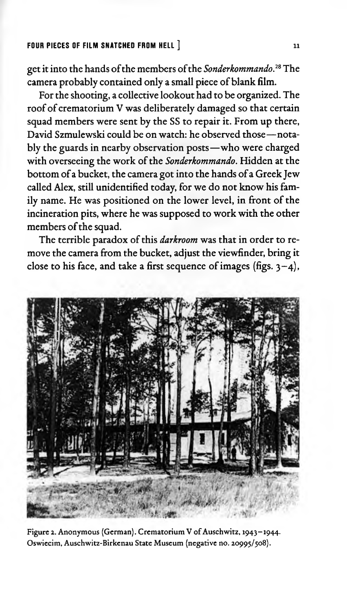#### FOUR PIECES OF FILM SNATCHED FROM HELL  $\mathbf l$  is a limit of the state  $\mathbf u$

get it into the hands of the members of the *Sonderkommando*.<sup>28</sup> The camera probably contained only a small piece of blank film.

For the shooting, a collective lookout had to be organized. The roof of crematorium V was deliberately damaged so that certain squad members were sent by the SS to repair it. From up there, David Szmulewski could be on watch: he observed those— notably the guards in nearby observation posts—who were charged with overseeing the work of the *Sonderkommando.* Hidden at the bottom of a bucket, the camera got into the hands of a Greek Jew called Alex, still unidentified today, for we do not know his family name. He was positioned on the lower level, in front of the incineration pits, where he was supposed to work with the other members of the squad.

The terrible paradox of this *darkroom* was that in order to remove the camera from the bucket, adjust the viewfinder, bring it close to his face, and take a first sequence of images (figs.  $3-4$ ),



Figure 2. Anonymous (German). Crematorium V of Auschwitz, 1943-1944. Oswiecim, Auschwitz-Birkenau State Museum (negative no. 20995/508).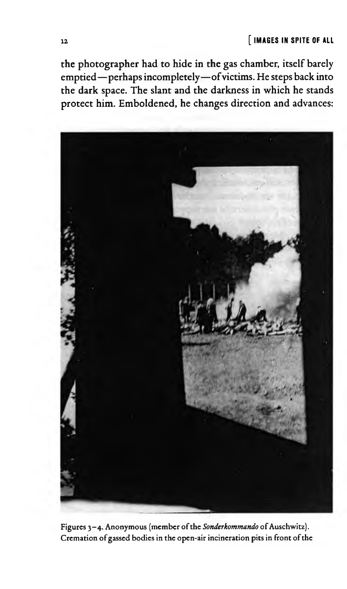the photographer had to hide in the gas chamber, itself barely emptied—perhaps incompletely—of victims. He steps back into the dark space. The slant and the darkness in which he stands protect him. Emboldened, he changes direction and advances:



Figures 3-4. Anonymous (member of the *Sonderkommando* of Auschwitz). Cremation of gassed bodies in the open-air incineration pits in front of the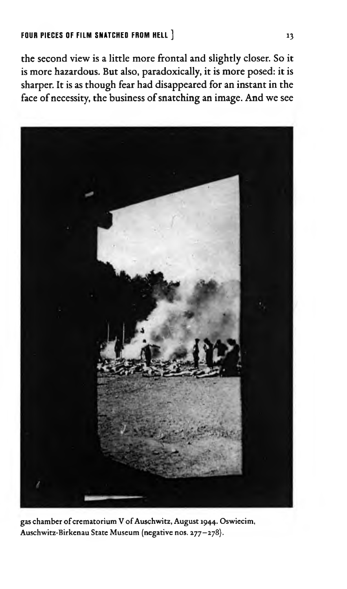the second view is a little more frontal and slightly closer. So it is more hazardous. But also, paradoxically, it is more posed: it is sharper. It is as though fear had disappeared for an instant in the face of necessity, the business of snatching an image. And we see



gas chamber of crematorium V of Auschwitz, August 1944. Oswiecim, Auschwitz-Birkenau State Museum (negative nos. 277-278).